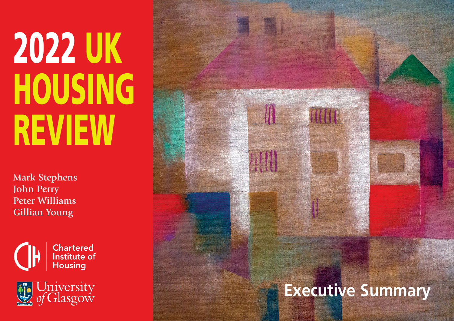# **2022 UK HOUSING REVIEW**

**Mark Stephens John Perry Peter Williams Gillian Young**





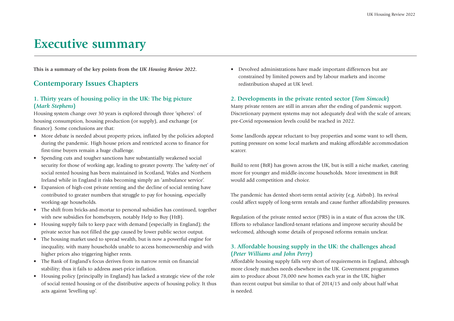# **Executive summary**

**This is a summary of the key points from the** *UK Housing Review 2022***.**

# **Contemporary Issues Chapters**

# **1. Thirty years of housing policy in the UK: The big picture (***Mark Stephens***)**

Housing system change over 30 years is explored through three 'spheres': of housing consumption, housing production (or supply), and exchange (or finance). Some conclusions are that:

- More debate is needed about property prices, inflated by the policies adopted during the pandemic. High house prices and restricted access to finance for first-time buyers remain a huge challenge.
- Spending cuts and tougher sanctions have substantially weakened social security for those of working age, leading to greater poverty. The 'safety-net' of social rented housing has been maintained in Scotland, Wales and Northern Ireland while in England it risks becoming simply an 'ambulance service'.
- Expansion of high-cost private renting and the decline of social renting have contributed to greater numbers that struggle to pay for housing, especially working-age households.
- The shift from bricks-and-mortar to personal subsidies has continued, together with new subsidies for homebuyers, notably Help to Buy (HtB).
- Housing supply fails to keep pace with demand (especially in England); the private sector has not filled the gap caused by lower public sector output.
- The housing market used to spread wealth, but is now a powerful engine for inequality, with many households unable to access homeownership and with higher prices also triggering higher rents.
- The Bank of England's focus derives from its narrow remit on financial stability; thus it fails to address asset-price inflation.
- Housing policy (principally in England) has lacked a strategic view of the role of social rented housing or of the distributive aspects of housing policy. It thus acts against 'levelling up'.

• Devolved administrations have made important differences but are constrained by limited powers and by labour markets and income redistribution shaped at UK level.

# **2. Developments in the private rented sector (***Tom Simcock***)**

Many private renters are still in arrears after the ending of pandemic support. Discretionary payment systems may not adequately deal with the scale of arrears; pre-Covid repossession levels could be reached in 2022.

Some landlords appear reluctant to buy properties and some want to sell them, putting pressure on some local markets and making affordable accommodation scarcer.

Build to rent (BtR) has grown across the UK, but is still a niche market, catering more for younger and middle-income households. More investment in BtR would add competition and choice.

The pandemic has dented short-term rental activity (e.g. Airbnb). Its revival could affect supply of long-term rentals and cause further affordability pressures.

Regulation of the private rented sector (PRS) is in a state of flux across the UK. Efforts to rebalance landlord-tenant relations and improve security should be welcomed, although some details of proposed reforms remain unclear.

# **3. Affordable housing supply in the UK: the challenges ahead (***Peter Williams and John Perry***)**

Affordable housing supply falls very short of requirements in England, although more closely matches needs elsewhere in the UK. Government programmes aim to produce about 78,000 new homes each year in the UK, higher than recent output but similar to that of 2014/15 and only about half what is needed.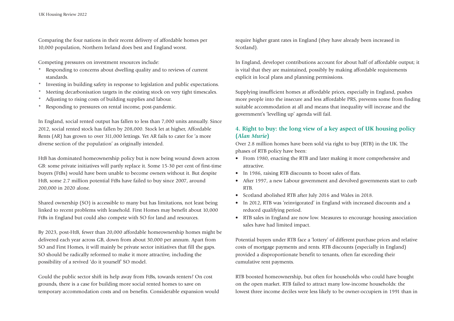Comparing the four nations in their recent delivery of affordable homes per 10,000 population, Northern Ireland does best and England worst.

Competing pressures on investment resources include:

- \* Responding to concerns about dwelling quality and to reviews of current standards.
- Investing in building safety in response to legislation and public expectations.
- Meeting decarbonisation targets in the existing stock on very tight timescales.
- Adjusting to rising costs of building supplies and labour.
- Responding to pressures on rental income, post-pandemic.

In England, social rented output has fallen to less than 7,000 units annually. Since 2012, social rented stock has fallen by 208,000. Stock let at higher, Affordable Rents (AR) has grown to over 311,000 lettings. Yet AR fails to cater for 'a more diverse section of the population' as originally intended.

HtB has dominated homeownership policy but is now being wound down across GB: some private initiatives will partly replace it. Some 15-30 per cent of first-time buyers (FtBs) would have been unable to become owners without it. But despite HtB, some 2.7 million potential FtBs have failed to buy since 2007, around 200,000 in 2020 alone.

Shared ownership (SO) is accessible to many but has limitations, not least being linked to recent problems with leasehold. First Homes may benefit about 10,000 FtBs in England but could also compete with SO for land and resources.

By 2023, post-HtB, fewer than 20,000 affordable homeownership homes might be delivered each year across GB, down from about 30,000 per annum. Apart from SO and First Homes, it will mainly be private sector initiatives that fill the gaps. SO should be radically reformed to make it more attractive, including the possibility of a revived 'do it yourself' SO model.

Could the public sector shift its help away from FtBs, towards renters? On cost grounds, there is a case for building more social rented homes to save on temporary accommodation costs and on benefits. Considerable expansion would require higher grant rates in England (they have already been increased in Scotland).

In England, developer contributions account for about half of affordable output; it is vital that they are maintained, possibly by making affordable requirements explicit in local plans and planning permissions.

Supplying insufficient homes at affordable prices, especially in England, pushes more people into the insecure and less affordable PRS, prevents some from finding suitable accommodation at all and means that inequality will increase and the governmen<sup>t</sup>'s 'levelling up' agenda will fail.

## **4. Right to buy: the long view of a key aspect of UK housing policy (***Alan Murie***)**

Over 2.8 million homes have been sold via right to buy (RTB) in the UK. The phases of RTB policy have been:

- From 1980, enacting the RTB and later making it more comprehensive and attractive.
- In 1986, raising RTB discounts to boost sales of flats.
- After 1997, a new Labour government and devolved governments start to curb RTB.
- Scotland abolished RTB after July 2016 and Wales in 2018.
- In 2012, RTB was 'reinvigorated' in England with increased discounts and a reduced qualifying period.
- RTB sales in England are now low. Measures to encourage housing association sales have had limited impact.

Potential buyers under RTB face a 'lottery' of different purchase prices and relative costs of mortgage payments and rents. RTB discounts (especially in England) provided a disproportionate benefit to tenants, often far exceeding their cumulative rent payments.

RTB boosted homeownership, but often for households who could have bought on the open market. RTB failed to attract many low-income households: the lowest three income deciles were less likely to be owner-occupiers in 1991 than in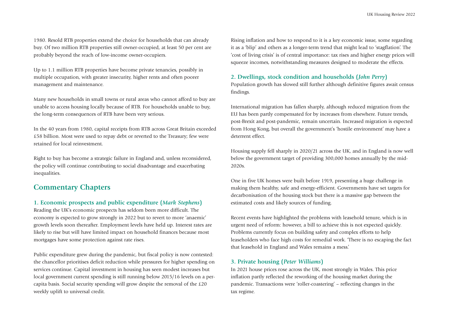1980. Resold RTB properties extend the choice for households that can already buy. Of two million RTB properties still owner-occupied, at least 50 per cent are probably beyond the reach of low-income owner-occupiers.

Up to 1.1 million RTB properties have become private tenancies, possibly in multiple occupation, with greater insecurity, higher rents and often poorer management and maintenance.

Many new households in small towns or rural areas who cannot afford to buy are unable to access housing locally because of RTB. For households unable to buy, the long-term consequences of RTB have been very serious.

In the 40 years from 1980, capital receipts from RTB across Great Britain exceeded £58 billion. Most were used to repay debt or reverted to the Treasury; few were retained for local reinvestment.

Right to buy has become a strategic failure in England and, unless reconsidered, the policy will continue contributing to social disadvantage and exacerbating inequalities.

# **Commentary Chapters**

#### **1. Economic prospects and public expenditure (***Mark Stephens***)**

Reading the UK's economic prospects has seldom been more difficult. The economy is expected to grow strongly in 2022 but to revert to more 'anaemic' growth levels soon thereafter. Employment levels have held up. Interest rates are likely to rise but will have limited impact on household finances because most mortgages have some protection against rate rises.

Public expenditure grew during the pandemic, but fiscal policy is now contested: the chancellor prioritises deficit reduction while pressures for higher spending on services continue. Capital investment in housing has seen modest increases but local government current spending is still running below 2015/16 levels on a percapita basis. Social security spending will grow despite the removal of the £20 weekly uplift to universal credit.

Rising inflation and how to respond to it is a key economic issue, some regarding it as a 'blip' and others as a longer-term trend that might lead to 'stagflation'. The 'cost of living crisis' is of central importance: tax rises and higher energy prices will squeeze incomes, notwithstanding measures designed to moderate the effects.

#### **2. Dwellings, stock condition and households (***John Perry***)**

Population growth has slowed still further although definitive figures await census findings.

International migration has fallen sharply, although reduced migration from the EU has been partly compensated for by increases from elsewhere. Future trends, post-Brexit and post-pandemic, remain uncertain. Increased migration is expected from Hong Kong, but overall the government's 'hostile environment' may have a deterrent effect.

Housing supply fell sharply in 2020/21 across the UK, and in England is now well below the government target of providing 300,000 homes annually by the mid-2020s.

One in five UK homes were built before 1919, presenting a huge challenge in making them healthy, safe and energy-efficient. Governments have set targets for decarbonisation of the housing stock but there is a massive gap between the estimated costs and likely sources of funding.

Recent events have highlighted the problems with leasehold tenure, which is in urgent need of reform: however, a bill to achieve this is not expected quickly. Problems currently focus on building safety and complex efforts to help leaseholders who face high costs for remedial work. 'There is no escaping the fact that leasehold in England and Wales remains a mess.'

#### **3. Private housing (***Peter Williams***)**

In 2021 house prices rose across the UK, most strongly in Wales. This price inflation partly reflected the reworking of the housing market during the pandemic. Transactions were 'roller-coastering' – reflecting changes in the tax regime.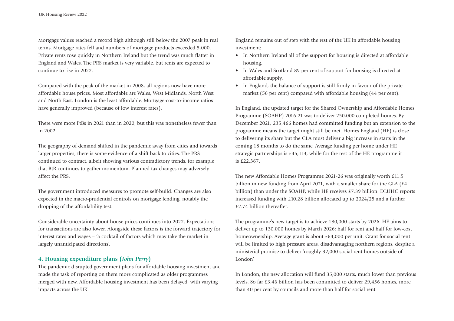Mortgage values reached a record high although still below the 2007 peak in real terms. Mortgage rates fell and numbers of mortgage products exceeded 5,000. Private rents rose quickly in Northern Ireland but the trend was much flatter in England and Wales. The PRS market is very variable, but rents are expected to continue to rise in 2022.

Compared with the peak of the market in 2008, all regions now have more affordable house prices. Most affordable are Wales, West Midlands, North West and North East. London is the least affordable. Mortgage-cost-to-income ratios have generally improved (because of low interest rates).

There were more FtBs in 2021 than in 2020, but this was nonetheless fewer than in 2002.

The geography of demand shifted in the pandemic away from cities and towards larger properties; there is some evidence of a shift back to cities. The PRS continued to contract, albeit showing various contradictory trends, for example that BtR continues to gather momentum. Planned tax changes may adversely affect the PRS.

The government introduced measures to promote self-build. Changes are also expected in the macro-prudential controls on mortgage lending, notably the dropping of the affordability test.

Considerable uncertainty about house prices continues into 2022. Expectations for transactions are also lower. Alongside these factors is the forward trajectory for interest rates and wages – 'a cocktail of factors which may take the market in largely unanticipated directions'.

#### **4. Housing expenditure plans (***John Perry***)**

The pandemic disrupted government plans for affordable housing investment and made the task of reporting on them more complicated as older programmes merged with new. Affordable housing investment has been delayed, with varying impacts across the UK.

England remains out of step with the rest of the UK in affordable housing investment:

- In Northern Ireland all of the support for housing is directed at affordable housing.
- In Wales and Scotland 89 per cent of support for housing is directed at affordable supply.
- In England, the balance of support is still firmly in favour of the private market (56 per cent) compared with affordable housing (44 per cent).

In England, the updated target for the Shared Ownership and Affordable Homes Programme (SOAHP) 2016-21 was to deliver 250,000 completed homes. By December 2021, 235,466 homes had committed funding but an extension to the programme means the target might still be met. Homes England (HE) is close to delivering its share but the GLA must deliver a big increase in starts in the coming 18 months to do the same. Average funding per home under HE strategic partnerships is £45,113, while for the rest of the HE programme it is £22,367.

The new Affordable Homes Programme 2021-26 was originally worth £11.5 billion in new funding from April 2021, with a smaller share for the GLA (£4 billion) than under the SOAHP, while HE receives £7.39 billion. DLUHC reports increased funding with £10.28 billion allocated up to 2024/25 and a further £2.74 billion thereafter.

The programme's new target is to achieve 180,000 starts by 2026. HE aims to deliver up to 130,000 homes by March 2026: half for rent and half for low-cost homeownership. Average grant is about £64,000 per unit. Grant for social rent will be limited to high pressure areas, disadvantaging northern regions, despite a ministerial promise to deliver 'roughly 32,000 social rent homes outside of London'.

In London, the new allocation will fund 35,000 starts, much lower than previous levels. So far £3.46 billion has been committed to deliver 29,456 homes, more than 40 per cent by councils and more than half for social rent.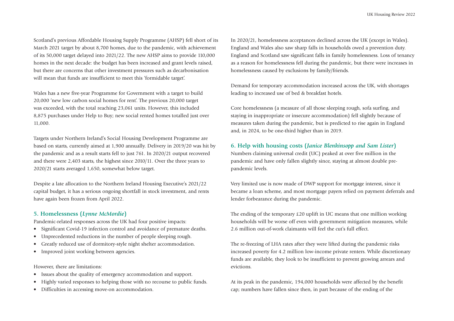Scotland's previous Affordable Housing Supply Programme (AHSP) fell short of its March 2021 target by about 8,700 homes, due to the pandemic, with achievement of its 50,000 target delayed into 2021/22. The new AHSP aims to provide 110,000 homes in the next decade: the budget has been increased and grant levels raised, but there are concerns that other investment pressures such as decarbonisation will mean that funds are insufficient to meet this 'formidable target'.

Wales has a new five-year Programme for Government with a target to build 20,000 'new low carbon social homes for rent'. The previous 20,000 target was exceeded, with the total reaching 23,061 units. However, this included 8,875 purchases under Help to Buy; new social rented homes totalled just over 11,000.

Targets under Northern Ireland's Social Housing Development Programme are based on starts, currently aimed at 1,900 annually. Delivery in 2019/20 was hit by the pandemic and as a result starts fell to just 761. In 2020/21 output recovered and there were 2,403 starts, the highest since 2010/11. Over the three years to 2020/21 starts averaged 1,650, somewhat below target.

Despite a late allocation to the Northern Ireland Housing Executive's 2021/22 capital budget, it has a serious ongoing shortfall in stock investment, and rents have again been frozen from April 2022.

### **5. Homelessness (***Lynne McMordie***)**

Pandemic-related responses across the UK had four positive impacts:

- Significant Covid-19 infection control and avoidance of premature deaths.
- Unprecedented reductions in the number of people sleeping rough.
- Greatly reduced use of dormitory-style night shelter accommodation.
- Improved joint working between agencies.

However, there are limitations:

- Issues about the quality of emergency accommodation and support.
- Highly varied responses to helping those with no recourse to public funds.
- Difficulties in accessing move-on accommodation.

In 2020/21, homelessness acceptances declined across the UK (except in Wales). England and Wales also saw sharp falls in households owed a prevention duty. England and Scotland saw significant falls in family homelessness. Loss of tenancy as a reason for homelessness fell during the pandemic, but there were increases in homelessness caused by exclusions by family/friends.

Demand for temporary accommodation increased across the UK, with shortages leading to increased use of bed & breakfast hotels.

Core homelessness (a measure of all those sleeping rough, sofa surfing, and staying in inappropriate or insecure accommodation) fell slightly because of measures taken during the pandemic, but is predicted to rise again in England and, in 2024, to be one-third higher than in 2019.

### **6. Help with housing costs (***Janice Blenkinsopp and Sam Lister***)**

Numbers claiming universal credit (UC) peaked at over five million in the pandemic and have only fallen slightly since, staying at almost double prepandemic levels.

Very limited use is now made of DWP support for mortgage interest, since it became a loan scheme, and most mortgage payers relied on payment deferrals and lender forbearance during the pandemic.

The ending of the temporary £20 uplift in UC means that one million working households will be worse off even with government mitigation measures, while 2.6 million out-of-work claimants will feel the cut's full effect.

The re-freezing of LHA rates after they were lifted during the pandemic risks increased poverty for 4.2 million low-income private renters. While discretionary funds are available, they look to be insufficient to prevent growing arrears and evictions.

At its peak in the pandemic, 194,000 households were affected by the benefit cap; numbers have fallen since then, in part because of the ending of the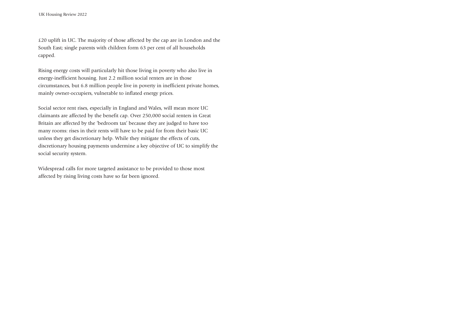£20 uplift in UC. The majority of those affected by the cap are in London and the South East; single parents with children form 63 per cent of all households capped.

Rising energy costs will particularly hit those living in poverty who also live in energy-inefficient housing. Just 2.2 million social renters are in those circumstances, but 6.8 million people live in poverty in inefficient private homes, mainly owner-occupiers, vulnerable to inflated energy prices.

Social sector rent rises, especially in England and Wales, will mean more UC claimants are affected by the benefit cap. Over 250,000 social renters in Great Britain are affected by the 'bedroom tax' because they are judged to have too many rooms: rises in their rents will have to be paid for from their basic UC unless they get discretionary help. While they mitigate the effects of cuts, discretionary housing payments undermine a key objective of UC to simplify the social security system.

Widespread calls for more targeted assistance to be provided to those most affected by rising living costs have so far been ignored.